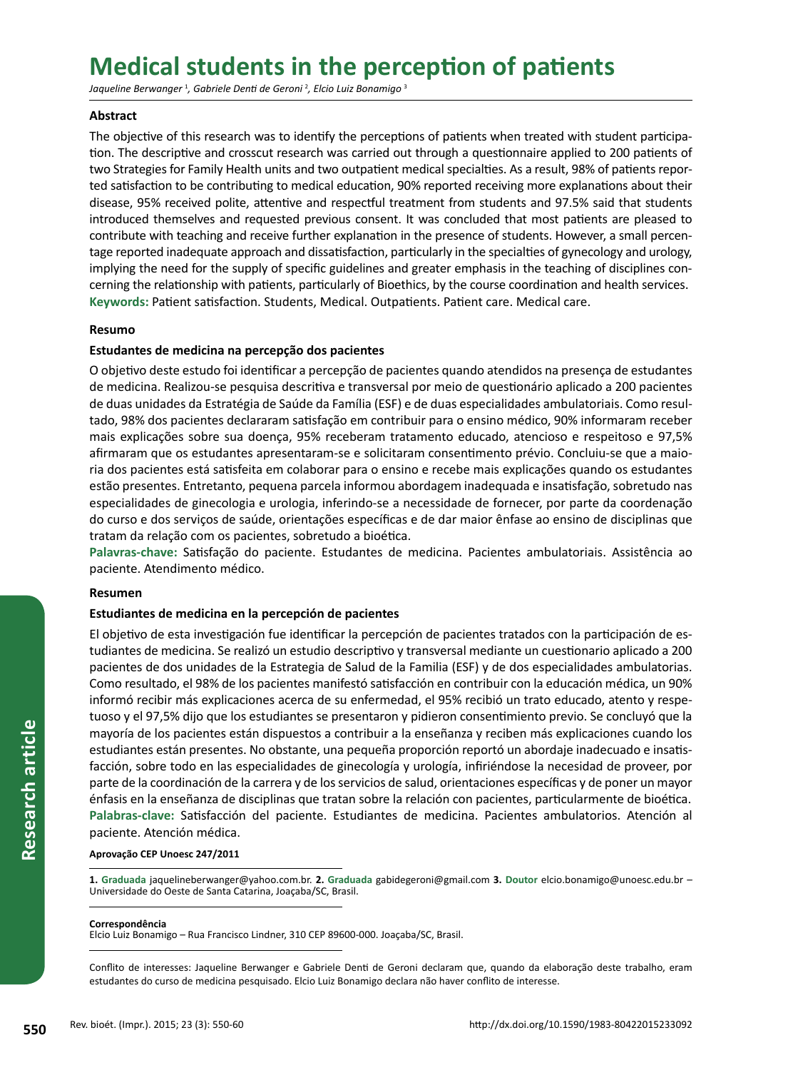# **Medical students in the perception of patients**

*Jaqueline Berwanger* <sup>1</sup> *, Gabriele Denti de Geroni* <sup>2</sup> *, Elcio Luiz Bonamigo* <sup>3</sup>

# **Abstract**

The objective of this research was to identify the perceptions of patients when treated with student participation. The descriptive and crosscut research was carried out through a questionnaire applied to 200 patients of two Strategies for Family Health units and two outpatient medical specialties. As a result, 98% of patients reported satisfaction to be contributing to medical education, 90% reported receiving more explanations about their disease, 95% received polite, attentive and respectful treatment from students and 97.5% said that students introduced themselves and requested previous consent. It was concluded that most patients are pleased to contribute with teaching and receive further explanation in the presence of students. However, a small percentage reported inadequate approach and dissatisfaction, particularly in the specialties of gynecology and urology, implying the need for the supply of specific guidelines and greater emphasis in the teaching of disciplines concerning the relationship with patients, particularly of Bioethics, by the course coordination and health services. **Keywords:** Patient satisfaction. Students, Medical. Outpatients. Patient care. Medical care.

# **Resumo**

# **Estudantes de medicina na percepção dos pacientes**

O objetivo deste estudo foi identificar a percepção de pacientes quando atendidos na presença de estudantes de medicina. Realizou-se pesquisa descritiva e transversal por meio de questionário aplicado a 200 pacientes de duas unidades da Estratégia de Saúde da Família (ESF) e de duas especialidades ambulatoriais. Como resultado, 98% dos pacientes declararam satisfação em contribuir para o ensino médico, 90% informaram receber mais explicações sobre sua doença, 95% receberam tratamento educado, atencioso e respeitoso e 97,5% afirmaram que os estudantes apresentaram-se e solicitaram consentimento prévio. Concluiu-se que a maioria dos pacientes está satisfeita em colaborar para o ensino e recebe mais explicações quando os estudantes estão presentes. Entretanto, pequena parcela informou abordagem inadequada e insatisfação, sobretudo nas especialidades de ginecologia e urologia, inferindo-se a necessidade de fornecer, por parte da coordenação do curso e dos serviços de saúde, orientações específicas e de dar maior ênfase ao ensino de disciplinas que tratam da relação com os pacientes, sobretudo a bioética.

**Palavras-chave:** Satisfação do paciente. Estudantes de medicina. Pacientes ambulatoriais. Assistência ao paciente. Atendimento médico.

# **Resumen**

# **Estudiantes de medicina en la percepción de pacientes**

El objetivo de esta investigación fue identificar la percepción de pacientes tratados con la participación de estudiantes de medicina. Se realizó un estudio descriptivo y transversal mediante un cuestionario aplicado a 200 pacientes de dos unidades de la Estrategia de Salud de la Familia (ESF) y de dos especialidades ambulatorias. Como resultado, el 98% de los pacientes manifestó satisfacción en contribuir con la educación médica, un 90% informó recibir más explicaciones acerca de su enfermedad, el 95% recibió un trato educado, atento y respetuoso y el 97,5% dijo que los estudiantes se presentaron y pidieron consentimiento previo. Se concluyó que la mayoría de los pacientes están dispuestos a contribuir a la enseñanza y reciben más explicaciones cuando los estudiantes están presentes. No obstante, una pequeña proporción reportó un abordaje inadecuado e insatisfacción, sobre todo en las especialidades de ginecología y urología, infiriéndose la necesidad de proveer, por parte de la coordinación de la carrera y de los servicios de salud, orientaciones específicas y de poner un mayor énfasis en la enseñanza de disciplinas que tratan sobre la relación con pacientes, particularmente de bioética. **Palabras-clave:** Satisfacción del paciente. Estudiantes de medicina. Pacientes ambulatorios. Atención al paciente. Atención médica.

#### **Aprovação CEP Unoesc 247/2011**

**1. Graduada** jaquelineberwanger@yahoo.com.br. **2. Graduada** gabidegeroni@gmail.com **3. Doutor** elcio.bonamigo@unoesc.edu.br – Universidade do Oeste de Santa Catarina, Joaçaba/SC, Brasil.

#### **Correspondência**

Elcio Luiz Bonamigo – Rua Francisco Lindner, 310 CEP 89600-000. Joaçaba/SC, Brasil.

Conflito de interesses: Jaqueline Berwanger e Gabriele Denti de Geroni declaram que, quando da elaboração deste trabalho, eram estudantes do curso de medicina pesquisado. Elcio Luiz Bonamigo declara não haver conflito de interesse.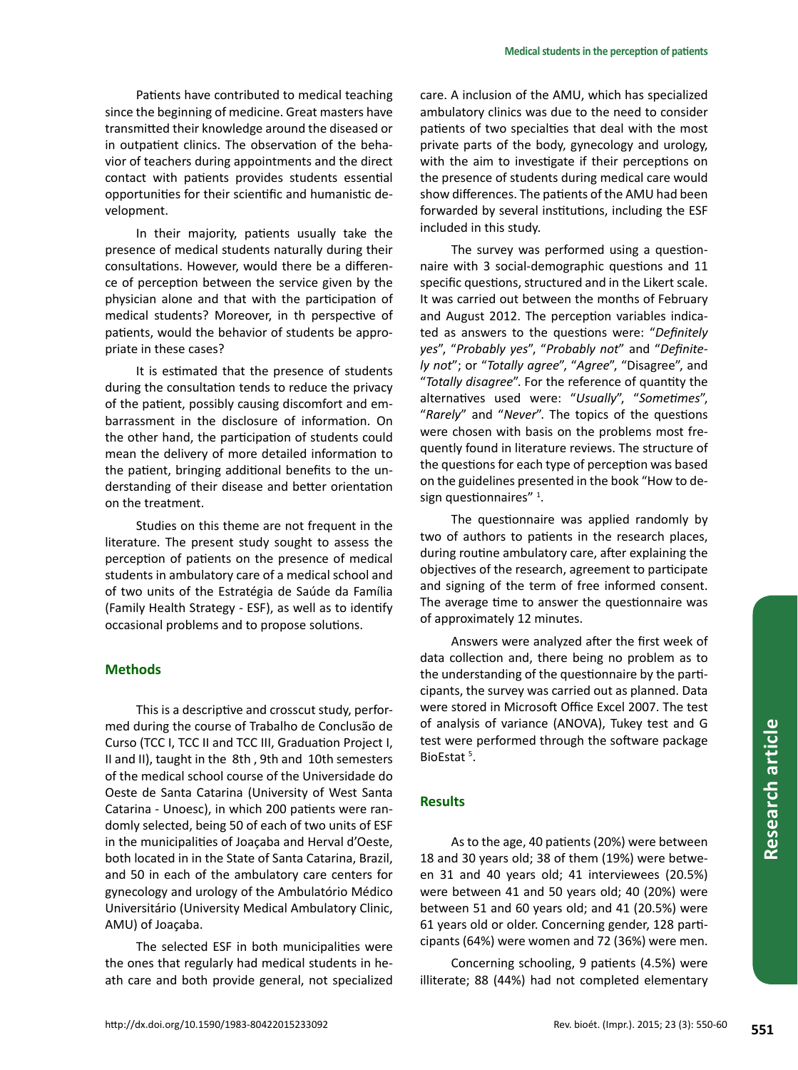Patients have contributed to medical teaching since the beginning of medicine. Great masters have transmitted their knowledge around the diseased or in outpatient clinics. The observation of the behavior of teachers during appointments and the direct contact with patients provides students essential opportunities for their scientific and humanistic development.

In their majority, patients usually take the presence of medical students naturally during their consultations. However, would there be a difference of perception between the service given by the physician alone and that with the participation of medical students? Moreover, in th perspective of patients, would the behavior of students be appropriate in these cases?

It is estimated that the presence of students during the consultation tends to reduce the privacy of the patient, possibly causing discomfort and embarrassment in the disclosure of information. On the other hand, the participation of students could mean the delivery of more detailed information to the patient, bringing additional benefits to the understanding of their disease and better orientation on the treatment.

Studies on this theme are not frequent in the literature. The present study sought to assess the perception of patients on the presence of medical students in ambulatory care of a medical school and of two units of the Estratégia de Saúde da Família (Family Health Strategy - ESF), as well as to identify occasional problems and to propose solutions.

# **Methods**

This is a descriptive and crosscut study, performed during the course of Trabalho de Conclusão de Curso (TCC I, TCC II and TCC III, Graduation Project I, II and II), taught in the 8th , 9th and 10th semesters of the medical school course of the Universidade do Oeste de Santa Catarina (University of West Santa Catarina - Unoesc), in which 200 patients were randomly selected, being 50 of each of two units of ESF in the municipalities of Joaçaba and Herval d'Oeste, both located in in the State of Santa Catarina, Brazil, and 50 in each of the ambulatory care centers for gynecology and urology of the Ambulatório Médico Universitário (University Medical Ambulatory Clinic, AMU) of Joaçaba.

The selected ESF in both municipalities were the ones that regularly had medical students in heath care and both provide general, not specialized care. A inclusion of the AMU, which has specialized ambulatory clinics was due to the need to consider patients of two specialties that deal with the most private parts of the body, gynecology and urology, with the aim to investigate if their perceptions on the presence of students during medical care would show differences. The patients of the AMU had been forwarded by several institutions, including the ESF included in this study.

The survey was performed using a questionnaire with 3 social-demographic questions and 11 specific questions, structured and in the Likert scale. It was carried out between the months of February and August 2012. The perception variables indicated as answers to the questions were: "*Definitely yes*", "*Probably yes*", "*Probably not*" and "*Definitely not*"; or "*Totally agree*", "*Agree*", "Disagree", and "*Totally disagree*". For the reference of quantity the alternatives used were: "*Usually*", "*Sometimes*", "*Rarely*" and "*Never*". The topics of the questions were chosen with basis on the problems most frequently found in literature reviews. The structure of the questions for each type of perception was based on the guidelines presented in the book "How to design questionnaires"<sup>1</sup>.

The questionnaire was applied randomly by two of authors to patients in the research places, during routine ambulatory care, after explaining the objectives of the research, agreement to participate and signing of the term of free informed consent. The average time to answer the questionnaire was of approximately 12 minutes.

Answers were analyzed after the first week of data collection and, there being no problem as to the understanding of the questionnaire by the participants, the survey was carried out as planned. Data were stored in Microsoft Office Excel 2007. The test of analysis of variance (ANOVA), Tukey test and G test were performed through the software package BioEstat<sup>5</sup>.

# **Results**

As to the age, 40 patients (20%) were between 18 and 30 years old; 38 of them (19%) were between 31 and 40 years old; 41 interviewees (20.5%) were between 41 and 50 years old; 40 (20%) were between 51 and 60 years old; and 41 (20.5%) were 61 years old or older. Concerning gender, 128 participants (64%) were women and 72 (36%) were men.

Concerning schooling, 9 patients (4.5%) were illiterate; 88 (44%) had not completed elementary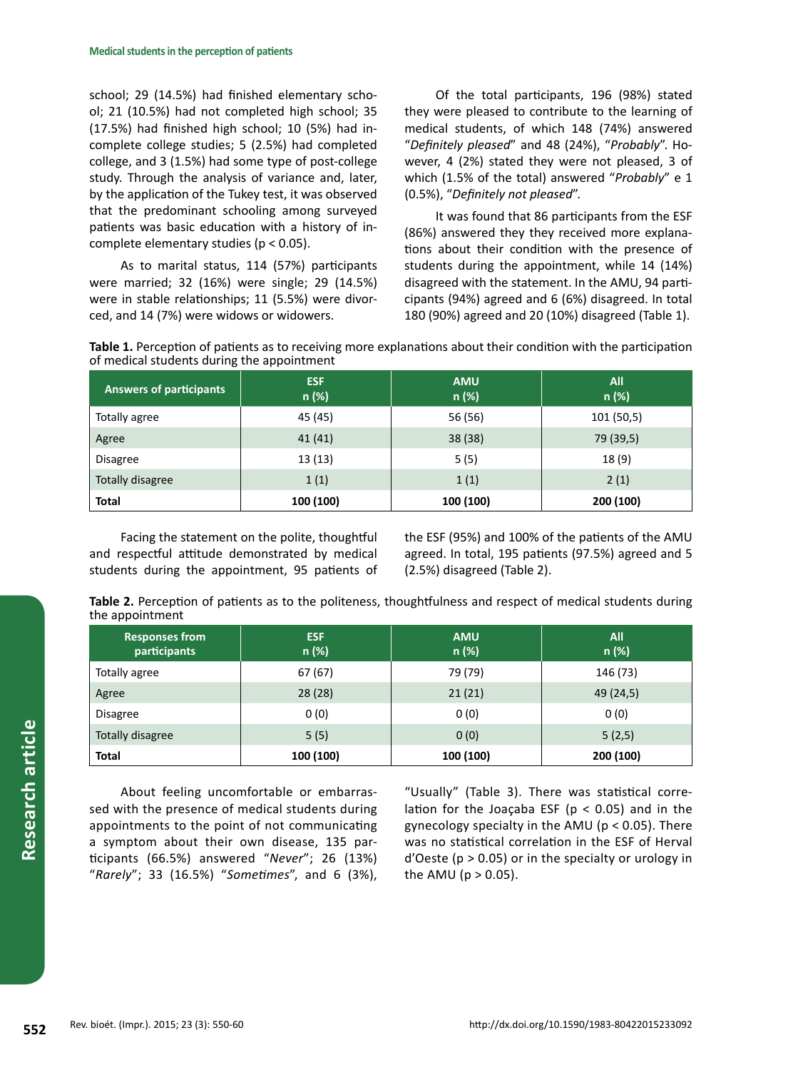school; 29 (14.5%) had finished elementary school; 21 (10.5%) had not completed high school; 35 (17.5%) had finished high school; 10 (5%) had incomplete college studies; 5 (2.5%) had completed college, and 3 (1.5%) had some type of post-college study. Through the analysis of variance and, later, by the application of the Tukey test, it was observed that the predominant schooling among surveyed patients was basic education with a history of incomplete elementary studies (p < 0.05).

As to marital status, 114 (57%) participants were married; 32 (16%) were single; 29 (14.5%) were in stable relationships; 11 (5.5%) were divorced, and 14 (7%) were widows or widowers.

Of the total participants, 196 (98%) stated they were pleased to contribute to the learning of medical students, of which 148 (74%) answered "*Definitely pleased*" and 48 (24%), "*Probably*". However, 4 (2%) stated they were not pleased, 3 of which (1.5% of the total) answered "*Probably*" e 1 (0.5%), "*Definitely not pleased*".

It was found that 86 participants from the ESF (86%) answered they they received more explanations about their condition with the presence of students during the appointment, while 14 (14%) disagreed with the statement. In the AMU, 94 participants (94%) agreed and 6 (6%) disagreed. In total 180 (90%) agreed and 20 (10%) disagreed (Table 1).

**Table 1.** Perception of patients as to receiving more explanations about their condition with the participation of medical students during the appointment

| <b>Answers of participants</b> | <b>ESF</b><br>n (%) | <b>AMU</b><br>$n$ (%) | <b>All</b><br>n (%) |
|--------------------------------|---------------------|-----------------------|---------------------|
| Totally agree                  | 45 (45)             | 56 (56)               | 101 (50,5)          |
| Agree                          | 41(41)              | 38 (38)               | 79 (39,5)           |
| <b>Disagree</b>                | 13 (13)             | 5(5)                  | 18(9)               |
| Totally disagree               | 1(1)                | 1(1)                  | 2(1)                |
| <b>Total</b>                   | 100 (100)           | 100 (100)             | 200 (100)           |

Facing the statement on the polite, thoughtful and respectful attitude demonstrated by medical students during the appointment, 95 patients of the ESF (95%) and 100% of the patients of the AMU agreed. In total, 195 patients (97.5%) agreed and 5 (2.5%) disagreed (Table 2).

**Table 2.** Perception of patients as to the politeness, thoughtfulness and respect of medical students during the appointment

| <b>Responses from</b><br>participants | <b>ESF</b><br>n (%) | <b>AMU</b><br>n (%) | <b>All</b><br>n (%) |
|---------------------------------------|---------------------|---------------------|---------------------|
| Totally agree                         | 67(67)              | 79 (79)             | 146 (73)            |
| Agree                                 | 28(28)              | 21(21)              | 49 (24,5)           |
| <b>Disagree</b>                       | 0(0)                | 0(0)                | 0(0)                |
| Totally disagree                      | 5(5)                | 0(0)                | 5(2,5)              |
| <b>Total</b>                          | 100 (100)           | 100 (100)           | 200 (100)           |

About feeling uncomfortable or embarrassed with the presence of medical students during appointments to the point of not communicating a symptom about their own disease, 135 participants (66.5%) answered "*Never*"; 26 (13%) "*Rarely*"; 33 (16.5%) "*Sometimes*", and 6 (3%),

"Usually" (Table 3). There was statistical correlation for the Joaçaba ESF ( $p < 0.05$ ) and in the gynecology specialty in the AMU (p < 0.05). There was no statistical correlation in the ESF of Herval  $d'O$ este ( $p > 0.05$ ) or in the specialty or urology in the AMU ( $p > 0.05$ ).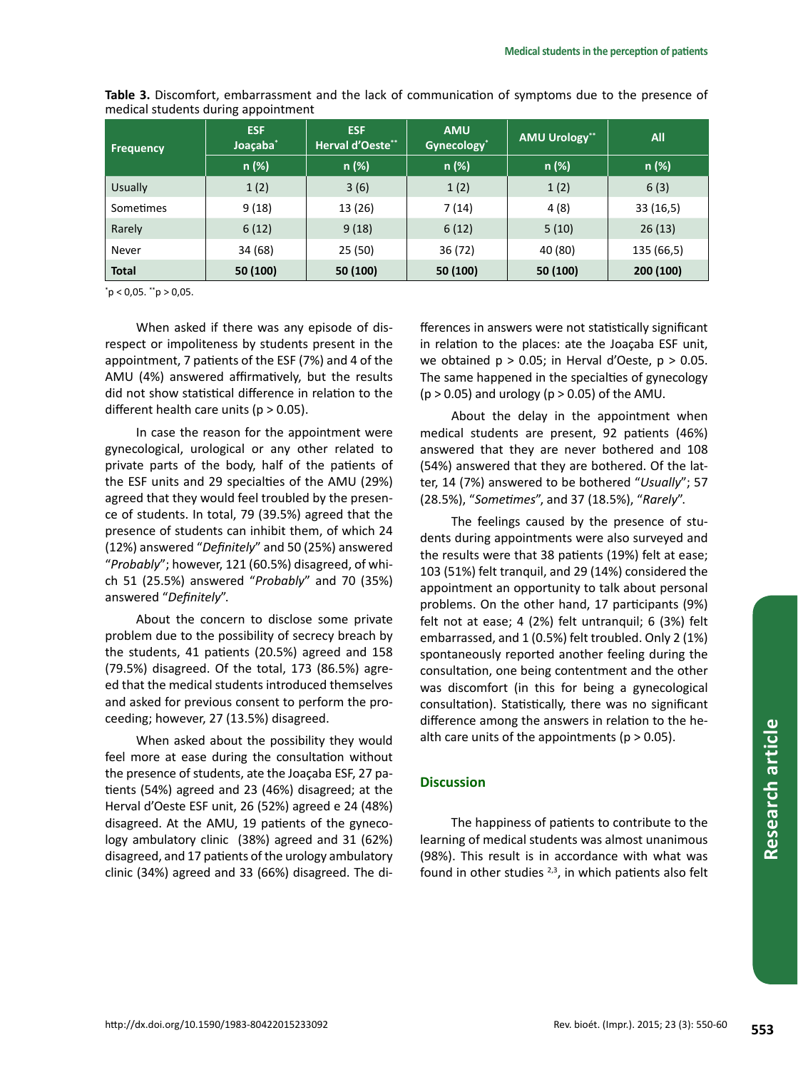| <b>Frequency</b> | <b>ESF</b><br>Joaçaba <sup>*</sup> | <b>ESF</b><br><b>Herval d'Oeste**</b> | <b>AMU</b><br>Gynecology <sup>*</sup> | <b>AMU Urology**</b> | All        |
|------------------|------------------------------------|---------------------------------------|---------------------------------------|----------------------|------------|
|                  | n (%)                              | $n$ (%)                               | $n (\%)$                              | n (%)                | n (%)      |
| <b>Usually</b>   | 1(2)                               | 3(6)                                  | 1(2)                                  | 1(2)                 | 6(3)       |
| Sometimes        | 9(18)                              | 13 (26)                               | 7 (14)                                | 4 (8)                | 33(16,5)   |
| Rarely           | 6(12)                              | 9(18)                                 | 6(12)                                 | 5(10)                | 26(13)     |
| Never            | 34 (68)                            | 25 (50)                               | 36 (72)                               | 40 (80)              | 135 (66,5) |
| <b>Total</b>     | 50 (100)                           | 50 (100)                              | 50 (100)                              | 50 (100)             | 200 (100)  |

**Table 3.** Discomfort, embarrassment and the lack of communication of symptoms due to the presence of medical students during appointment

\* p < 0,05. \*\*p > 0,05.

When asked if there was any episode of disrespect or impoliteness by students present in the appointment, 7 patients of the ESF (7%) and 4 of the AMU (4%) answered affirmatively, but the results did not show statistical difference in relation to the different health care units ( $p > 0.05$ ).

In case the reason for the appointment were gynecological, urological or any other related to private parts of the body, half of the patients of the ESF units and 29 specialties of the AMU (29%) agreed that they would feel troubled by the presence of students. In total, 79 (39.5%) agreed that the presence of students can inhibit them, of which 24 (12%) answered "*Definitely*" and 50 (25%) answered "*Probably*"; however, 121 (60.5%) disagreed, of which 51 (25.5%) answered "*Probably*" and 70 (35%) answered "*Definitely*".

About the concern to disclose some private problem due to the possibility of secrecy breach by the students, 41 patients (20.5%) agreed and 158 (79.5%) disagreed. Of the total, 173 (86.5%) agreed that the medical students introduced themselves and asked for previous consent to perform the proceeding; however, 27 (13.5%) disagreed.

When asked about the possibility they would feel more at ease during the consultation without the presence of students, ate the Joaçaba ESF, 27 patients (54%) agreed and 23 (46%) disagreed; at the Herval d'Oeste ESF unit, 26 (52%) agreed e 24 (48%) disagreed. At the AMU, 19 patients of the gynecology ambulatory clinic (38%) agreed and 31 (62%) disagreed, and 17 patients of the urology ambulatory clinic (34%) agreed and 33 (66%) disagreed. The di-

fferences in answers were not statistically significant in relation to the places: ate the Joaçaba ESF unit, we obtained  $p > 0.05$ ; in Herval d'Oeste,  $p > 0.05$ . The same happened in the specialties of gynecology  $(p > 0.05)$  and urology  $(p > 0.05)$  of the AMU.

About the delay in the appointment when medical students are present, 92 patients (46%) answered that they are never bothered and 108 (54%) answered that they are bothered. Of the latter, 14 (7%) answered to be bothered "*Usually*"; 57 (28.5%), "*Sometimes*", and 37 (18.5%), "*Rarely*".

The feelings caused by the presence of students during appointments were also surveyed and the results were that 38 patients (19%) felt at ease; 103 (51%) felt tranquil, and 29 (14%) considered the appointment an opportunity to talk about personal problems. On the other hand, 17 participants (9%) felt not at ease; 4 (2%) felt untranquil; 6 (3%) felt embarrassed, and 1 (0.5%) felt troubled. Only 2 (1%) spontaneously reported another feeling during the consultation, one being contentment and the other was discomfort (in this for being a gynecological consultation). Statistically, there was no significant difference among the answers in relation to the health care units of the appointments ( $p > 0.05$ ).

# **Discussion**

The happiness of patients to contribute to the learning of medical students was almost unanimous (98%). This result is in accordance with what was found in other studies  $2,3$ , in which patients also felt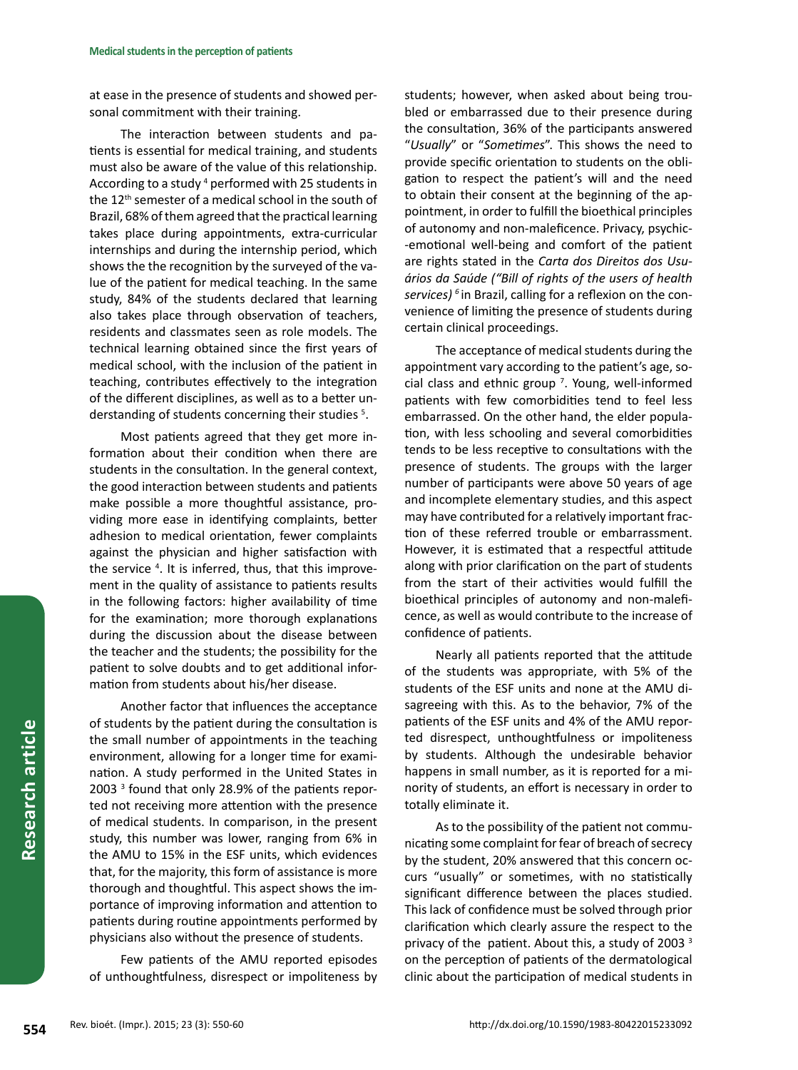at ease in the presence of students and showed personal commitment with their training.

The interaction between students and patients is essential for medical training, and students must also be aware of the value of this relationship. According to a study <sup>4</sup> performed with 25 students in the 12<sup>th</sup> semester of a medical school in the south of Brazil, 68% of them agreed that the practical learning takes place during appointments, extra-curricular internships and during the internship period, which shows the the recognition by the surveyed of the value of the patient for medical teaching. In the same study, 84% of the students declared that learning also takes place through observation of teachers, residents and classmates seen as role models. The technical learning obtained since the first years of medical school, with the inclusion of the patient in teaching, contributes effectively to the integration of the different disciplines, as well as to a better understanding of students concerning their studies <sup>5</sup>.

Most patients agreed that they get more information about their condition when there are students in the consultation. In the general context, the good interaction between students and patients make possible a more thoughtful assistance, providing more ease in identifying complaints, better adhesion to medical orientation, fewer complaints against the physician and higher satisfaction with the service <sup>4</sup>. It is inferred, thus, that this improvement in the quality of assistance to patients results in the following factors: higher availability of time for the examination; more thorough explanations during the discussion about the disease between the teacher and the students; the possibility for the patient to solve doubts and to get additional information from students about his/her disease.

Another factor that influences the acceptance of students by the patient during the consultation is the small number of appointments in the teaching environment, allowing for a longer time for examination. A study performed in the United States in 2003 <sup>3</sup> found that only 28.9% of the patients reported not receiving more attention with the presence of medical students. In comparison, in the present study, this number was lower, ranging from 6% in the AMU to 15% in the ESF units, which evidences that, for the majority, this form of assistance is more thorough and thoughtful. This aspect shows the importance of improving information and attention to patients during routine appointments performed by physicians also without the presence of students.

Few patients of the AMU reported episodes of unthoughtfulness, disrespect or impoliteness by students; however, when asked about being troubled or embarrassed due to their presence during the consultation, 36% of the participants answered "*Usually*" or "*Sometimes*". This shows the need to provide specific orientation to students on the obligation to respect the patient's will and the need to obtain their consent at the beginning of the appointment, in order to fulfill the bioethical principles of autonomy and non-maleficence. Privacy, psychic- -emotional well-being and comfort of the patient are rights stated in the *Carta dos Direitos dos Usuários da Saúde ("Bill of rights of the users of health services) <sup>6</sup>* in Brazil, calling for a reflexion on the convenience of limiting the presence of students during certain clinical proceedings.

The acceptance of medical students during the appointment vary according to the patient's age, social class and ethnic group <sup>7</sup> . Young, well-informed patients with few comorbidities tend to feel less embarrassed. On the other hand, the elder population, with less schooling and several comorbidities tends to be less receptive to consultations with the presence of students. The groups with the larger number of participants were above 50 years of age and incomplete elementary studies, and this aspect may have contributed for a relatively important fraction of these referred trouble or embarrassment. However, it is estimated that a respectful attitude along with prior clarification on the part of students from the start of their activities would fulfill the bioethical principles of autonomy and non-maleficence, as well as would contribute to the increase of confidence of patients.

Nearly all patients reported that the attitude of the students was appropriate, with 5% of the students of the ESF units and none at the AMU disagreeing with this. As to the behavior, 7% of the patients of the ESF units and 4% of the AMU reported disrespect, unthoughtfulness or impoliteness by students. Although the undesirable behavior happens in small number, as it is reported for a minority of students, an effort is necessary in order to totally eliminate it.

As to the possibility of the patient not communicating some complaint for fear of breach of secrecy by the student, 20% answered that this concern occurs "usually" or sometimes, with no statistically significant difference between the places studied. This lack of confidence must be solved through prior clarification which clearly assure the respect to the privacy of the patient. About this, a study of 2003<sup>3</sup> on the perception of patients of the dermatological clinic about the participation of medical students in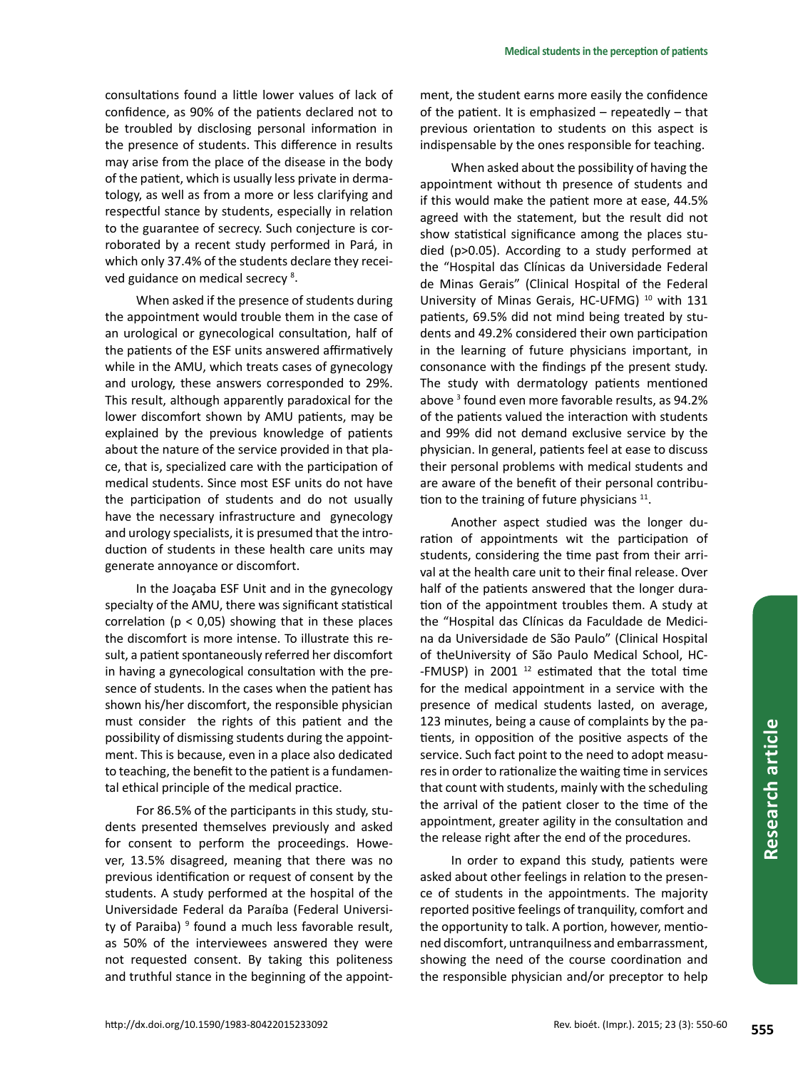consultations found a little lower values of lack of confidence, as 90% of the patients declared not to be troubled by disclosing personal information in the presence of students. This difference in results may arise from the place of the disease in the body of the patient, which is usually less private in dermatology, as well as from a more or less clarifying and respectful stance by students, especially in relation to the guarantee of secrecy. Such conjecture is corroborated by a recent study performed in Pará, in which only 37.4% of the students declare they received guidance on medical secrecy<sup>8</sup>.

When asked if the presence of students during the appointment would trouble them in the case of an urological or gynecological consultation, half of the patients of the ESF units answered affirmatively while in the AMU, which treats cases of gynecology and urology, these answers corresponded to 29%. This result, although apparently paradoxical for the lower discomfort shown by AMU patients, may be explained by the previous knowledge of patients about the nature of the service provided in that place, that is, specialized care with the participation of medical students. Since most ESF units do not have the participation of students and do not usually have the necessary infrastructure and gynecology and urology specialists, it is presumed that the introduction of students in these health care units may generate annoyance or discomfort.

In the Joaçaba ESF Unit and in the gynecology specialty of the AMU, there was significant statistical correlation ( $p < 0.05$ ) showing that in these places the discomfort is more intense. To illustrate this result, a patient spontaneously referred her discomfort in having a gynecological consultation with the presence of students. In the cases when the patient has shown his/her discomfort, the responsible physician must consider the rights of this patient and the possibility of dismissing students during the appointment. This is because, even in a place also dedicated to teaching, the benefit to the patient is a fundamental ethical principle of the medical practice.

For 86.5% of the participants in this study, students presented themselves previously and asked for consent to perform the proceedings. However, 13.5% disagreed, meaning that there was no previous identification or request of consent by the students. A study performed at the hospital of the Universidade Federal da Paraíba (Federal University of Paraiba) <sup>9</sup> found a much less favorable result, as 50% of the interviewees answered they were not requested consent. By taking this politeness and truthful stance in the beginning of the appointment, the student earns more easily the confidence of the patient. It is emphasized – repeatedly – that previous orientation to students on this aspect is indispensable by the ones responsible for teaching.

When asked about the possibility of having the appointment without th presence of students and if this would make the patient more at ease, 44.5% agreed with the statement, but the result did not show statistical significance among the places studied (p>0.05). According to a study performed at the "Hospital das Clínicas da Universidade Federal de Minas Gerais" (Clinical Hospital of the Federal University of Minas Gerais, HC-UFMG) 10 with 131 patients, 69.5% did not mind being treated by students and 49.2% considered their own participation in the learning of future physicians important, in consonance with the findings pf the present study. The study with dermatology patients mentioned above <sup>3</sup> found even more favorable results, as 94.2% of the patients valued the interaction with students and 99% did not demand exclusive service by the physician. In general, patients feel at ease to discuss their personal problems with medical students and are aware of the benefit of their personal contribution to the training of future physicians  $11$ .

Another aspect studied was the longer duration of appointments wit the participation of students, considering the time past from their arrival at the health care unit to their final release. Over half of the patients answered that the longer duration of the appointment troubles them. A study at the "Hospital das Clínicas da Faculdade de Medicina da Universidade de São Paulo" (Clinical Hospital of theUniversity of São Paulo Medical School, HC- -FMUSP) in 2001  $12$  estimated that the total time for the medical appointment in a service with the presence of medical students lasted, on average, 123 minutes, being a cause of complaints by the patients, in opposition of the positive aspects of the service. Such fact point to the need to adopt measures in order to rationalize the waiting time in services that count with students, mainly with the scheduling the arrival of the patient closer to the time of the appointment, greater agility in the consultation and the release right after the end of the procedures.

In order to expand this study, patients were asked about other feelings in relation to the presence of students in the appointments. The majority reported positive feelings of tranquility, comfort and the opportunity to talk. A portion, however, mentioned discomfort, untranquilness and embarrassment, showing the need of the course coordination and the responsible physician and/or preceptor to help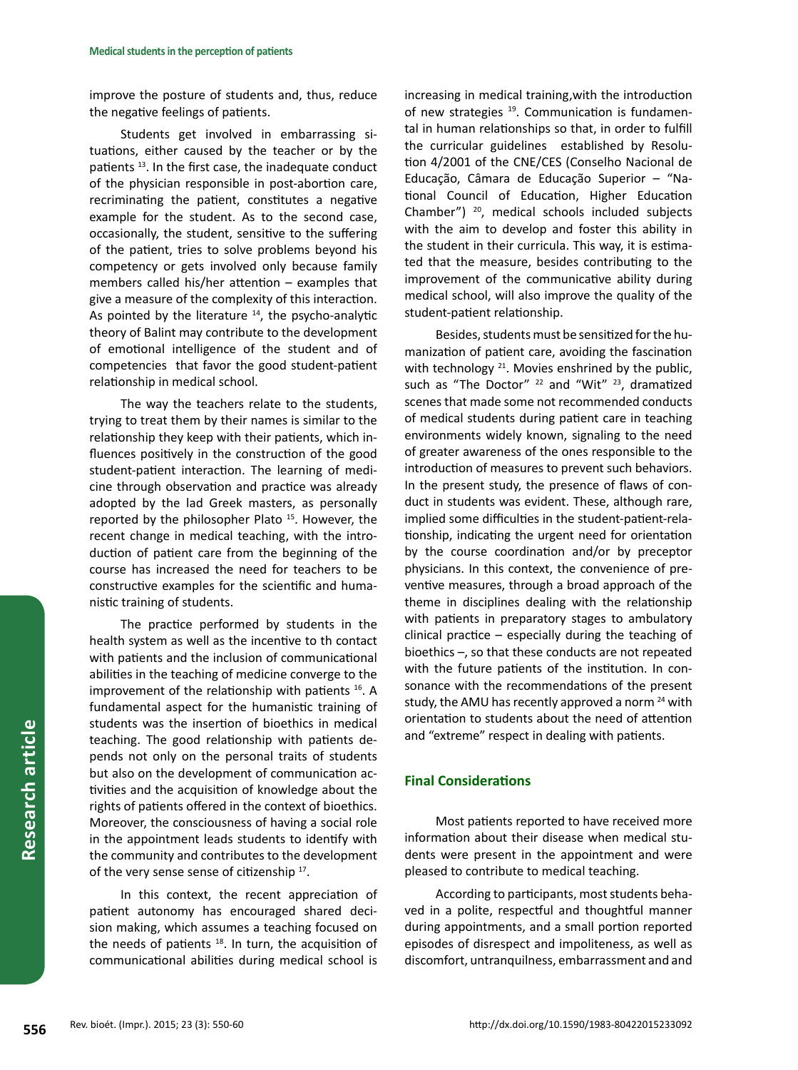improve the posture of students and, thus, reduce the negative feelings of patients.

Students get involved in embarrassing situations, either caused by the teacher or by the patients <sup>13</sup>. In the first case, the inadequate conduct of the physician responsible in post-abortion care, recriminating the patient, constitutes a negative example for the student. As to the second case, occasionally, the student, sensitive to the suffering of the patient, tries to solve problems beyond his competency or gets involved only because family members called his/her attention – examples that give a measure of the complexity of this interaction. As pointed by the literature  $14$ , the psycho-analytic theory of Balint may contribute to the development of emotional intelligence of the student and of competencies that favor the good student-patient relationship in medical school.

The way the teachers relate to the students, trying to treat them by their names is similar to the relationship they keep with their patients, which influences positively in the construction of the good student-patient interaction. The learning of medicine through observation and practice was already adopted by the lad Greek masters, as personally reported by the philosopher Plato 15. However, the recent change in medical teaching, with the introduction of patient care from the beginning of the course has increased the need for teachers to be constructive examples for the scientific and humanistic training of students.

The practice performed by students in the health system as well as the incentive to th contact with patients and the inclusion of communicational abilities in the teaching of medicine converge to the improvement of the relationship with patients <sup>16</sup>. A fundamental aspect for the humanistic training of students was the insertion of bioethics in medical teaching. The good relationship with patients depends not only on the personal traits of students but also on the development of communication activities and the acquisition of knowledge about the rights of patients offered in the context of bioethics. Moreover, the consciousness of having a social role in the appointment leads students to identify with the community and contributes to the development of the very sense sense of citizenship <sup>17</sup>.

In this context, the recent appreciation of patient autonomy has encouraged shared decision making, which assumes a teaching focused on the needs of patients  $18$ . In turn, the acquisition of communicational abilities during medical school is increasing in medical training,with the introduction of new strategies <sup>19</sup>. Communication is fundamental in human relationships so that, in order to fulfill the curricular guidelines established by Resolution 4/2001 of the CNE/CES (Conselho Nacional de Educação, Câmara de Educação Superior – "National Council of Education, Higher Education Chamber") 20, medical schools included subjects with the aim to develop and foster this ability in the student in their curricula. This way, it is estimated that the measure, besides contributing to the improvement of the communicative ability during medical school, will also improve the quality of the student-patient relationship.

Besides, students must be sensitized for the humanization of patient care, avoiding the fascination with technology <sup>21</sup>. Movies enshrined by the public, such as "The Doctor"  $^{22}$  and "Wit"  $^{23}$ , dramatized scenes that made some not recommended conducts of medical students during patient care in teaching environments widely known, signaling to the need of greater awareness of the ones responsible to the introduction of measures to prevent such behaviors. In the present study, the presence of flaws of conduct in students was evident. These, although rare, implied some difficulties in the student-patient-relationship, indicating the urgent need for orientation by the course coordination and/or by preceptor physicians. In this context, the convenience of preventive measures, through a broad approach of the theme in disciplines dealing with the relationship with patients in preparatory stages to ambulatory clinical practice – especially during the teaching of bioethics –, so that these conducts are not repeated with the future patients of the institution. In consonance with the recommendations of the present study, the AMU has recently approved a norm  $24$  with orientation to students about the need of attention and "extreme" respect in dealing with patients.

#### **Final Considerations**

Most patients reported to have received more information about their disease when medical students were present in the appointment and were pleased to contribute to medical teaching.

According to participants, most students behaved in a polite, respectful and thoughtful manner during appointments, and a small portion reported episodes of disrespect and impoliteness, as well as discomfort, untranquilness, embarrassment and and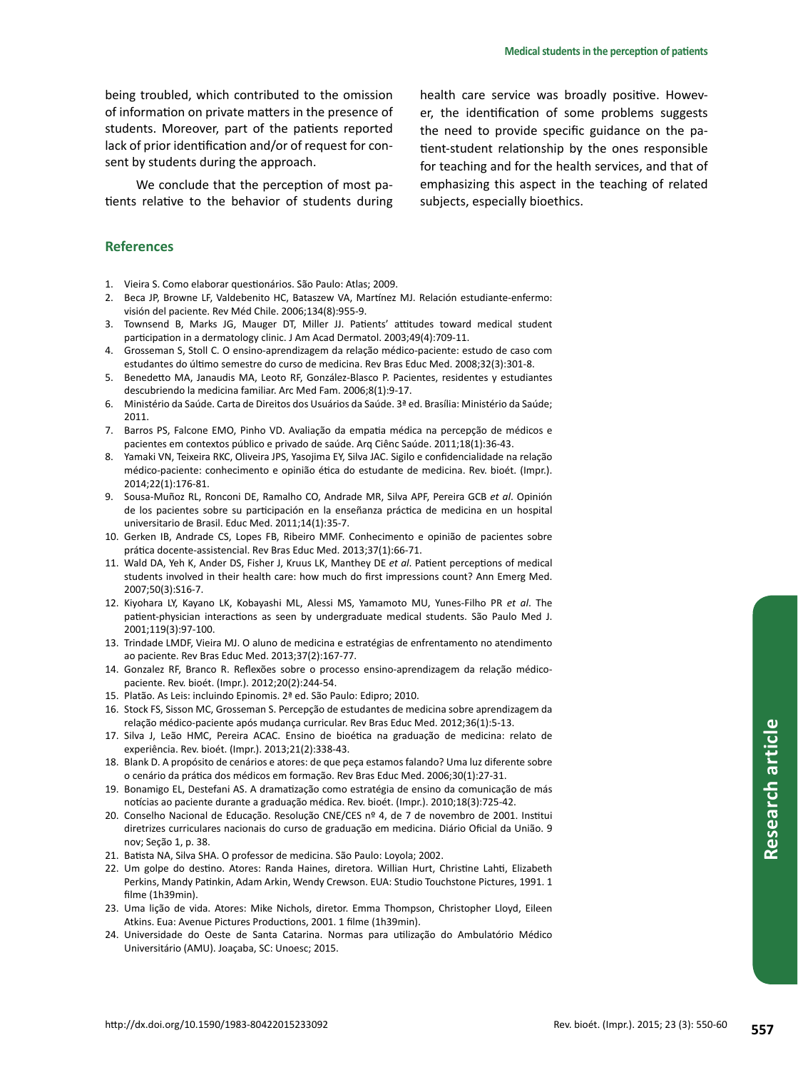being troubled, which contributed to the omission of information on private matters in the presence of students. Moreover, part of the patients reported lack of prior identification and/or of request for consent by students during the approach.

We conclude that the perception of most patients relative to the behavior of students during

health care service was broadly positive. However, the identification of some problems suggests the need to provide specific guidance on the patient-student relationship by the ones responsible for teaching and for the health services, and that of emphasizing this aspect in the teaching of related subjects, especially bioethics.

#### **References**

- 1. Vieira S. Como elaborar questionários. São Paulo: Atlas; 2009.
- 2. Beca JP, Browne LF, Valdebenito HC, Bataszew VA, Martínez MJ. Relación estudiante-enfermo: visión del paciente. Rev Méd Chile. 2006;134(8):955-9.
- 3. Townsend B, Marks JG, Mauger DT, Miller JJ. Patients' attitudes toward medical student participation in a dermatology clinic. J Am Acad Dermatol. 2003;49(4):709-11.
- 4. Grosseman S, Stoll C. O ensino-aprendizagem da relação médico-paciente: estudo de caso com estudantes do último semestre do curso de medicina. Rev Bras Educ Med. 2008;32(3):301-8.
- 5. Benedetto MA, Janaudis MA, Leoto RF, González-Blasco P. Pacientes, residentes y estudiantes descubriendo la medicina familiar. Arc Med Fam. 2006;8(1):9-17.
- 6. Ministério da Saúde. Carta de Direitos dos Usuários da Saúde. 3ª ed. Brasília: Ministério da Saúde; 2011.
- 7. Barros PS, Falcone EMO, Pinho VD. Avaliação da empatia médica na percepção de médicos e pacientes em contextos público e privado de saúde. Arq Ciênc Saúde. 2011;18(1):36-43.
- 8. Yamaki VN, Teixeira RKC, Oliveira JPS, Yasojima EY, Silva JAC. Sigilo e confidencialidade na relação médico-paciente: conhecimento e opinião ética do estudante de medicina. Rev. bioét. (Impr.). 2014;22(1):176-81.
- 9. Sousa-Muñoz RL, Ronconi DE, Ramalho CO, Andrade MR, Silva APF, Pereira GCB *et al*. Opinión de los pacientes sobre su participación en la enseñanza práctica de medicina en un hospital universitario de Brasil. Educ Med. 2011;14(1):35-7.
- 10. Gerken IB, Andrade CS, Lopes FB, Ribeiro MMF. Conhecimento e opinião de pacientes sobre prática docente-assistencial. Rev Bras Educ Med. 2013;37(1):66-71.
- 11. Wald DA, Yeh K, Ander DS, Fisher J, Kruus LK, Manthey DE *et al*. Patient perceptions of medical students involved in their health care: how much do first impressions count? Ann Emerg Med. 2007;50(3):S16-7.
- 12. Kiyohara LY, Kayano LK, Kobayashi ML, Alessi MS, Yamamoto MU, Yunes-Filho PR *et al*. The patient-physician interactions as seen by undergraduate medical students. São Paulo Med J. 2001;119(3):97-100.
- 13. Trindade LMDF, Vieira MJ. O aluno de medicina e estratégias de enfrentamento no atendimento ao paciente. Rev Bras Educ Med. 2013;37(2):167-77.
- 14. Gonzalez RF, Branco R. Reflexões sobre o processo ensino-aprendizagem da relação médicopaciente. Rev. bioét. (Impr.). 2012;20(2):244-54.
- 15. Platão. As Leis: incluindo Epinomis. 2ª ed. São Paulo: Edipro; 2010.
- 16. Stock FS, Sisson MC, Grosseman S. Percepção de estudantes de medicina sobre aprendizagem da relação médico-paciente após mudança curricular. Rev Bras Educ Med. 2012;36(1):5-13.
- 17. Silva J, Leão HMC, Pereira ACAC. Ensino de bioética na graduação de medicina: relato de experiência. Rev. bioét. (Impr.). 2013;21(2):338-43.
- 18. Blank D. A propósito de cenários e atores: de que peça estamos falando? Uma luz diferente sobre o cenário da prática dos médicos em formação. Rev Bras Educ Med. 2006;30(1):27-31.
- 19. Bonamigo EL, Destefani AS. A dramatização como estratégia de ensino da comunicação de más notícias ao paciente durante a graduação médica. Rev. bioét. (Impr.). 2010;18(3):725-42.
- 20. Conselho Nacional de Educação. Resolução CNE/CES nº 4, de 7 de novembro de 2001. Institui diretrizes curriculares nacionais do curso de graduação em medicina. Diário Oficial da União. 9 nov; Seção 1, p. 38.
- 21. Batista NA, Silva SHA. O professor de medicina. São Paulo: Loyola; 2002.
- 22. Um golpe do destino. Atores: Randa Haines, diretora. Willian Hurt, Christine Lahti, Elizabeth Perkins, Mandy Patinkin, Adam Arkin, Wendy Crewson. EUA: Studio Touchstone Pictures, 1991. 1 filme (1h39min).
- 23. Uma lição de vida. Atores: Mike Nichols, diretor. Emma Thompson, Christopher Lloyd, Eileen Atkins. Eua: Avenue Pictures Productions, 2001. 1 filme (1h39min).
- 24. Universidade do Oeste de Santa Catarina. Normas para utilização do Ambulatório Médico Universitário (AMU). Joaçaba, SC: Unoesc; 2015.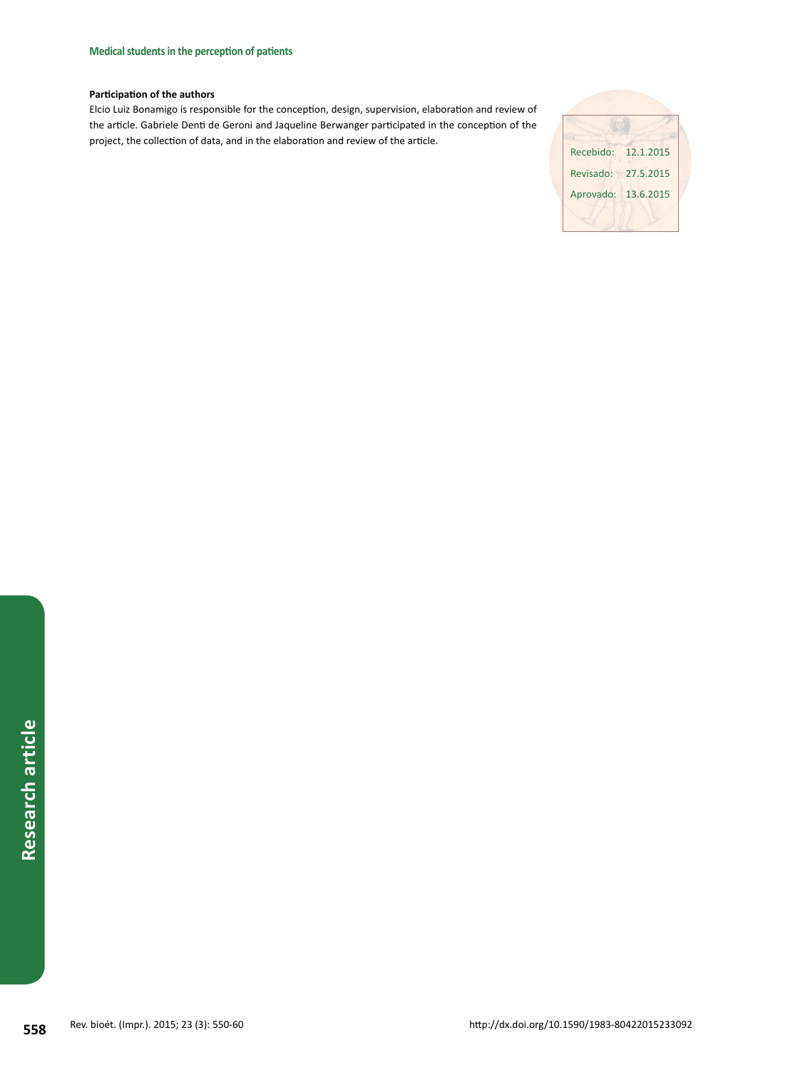#### **Participation of the authors**

Elcio Luiz Bonamigo is responsible for the conception, design, supervision, elaboration and review of the article. Gabriele Denti de Geroni and Jaqueline Berwanger participated in the conception of the project, the collection of data, and in the elaboration and review of the article.

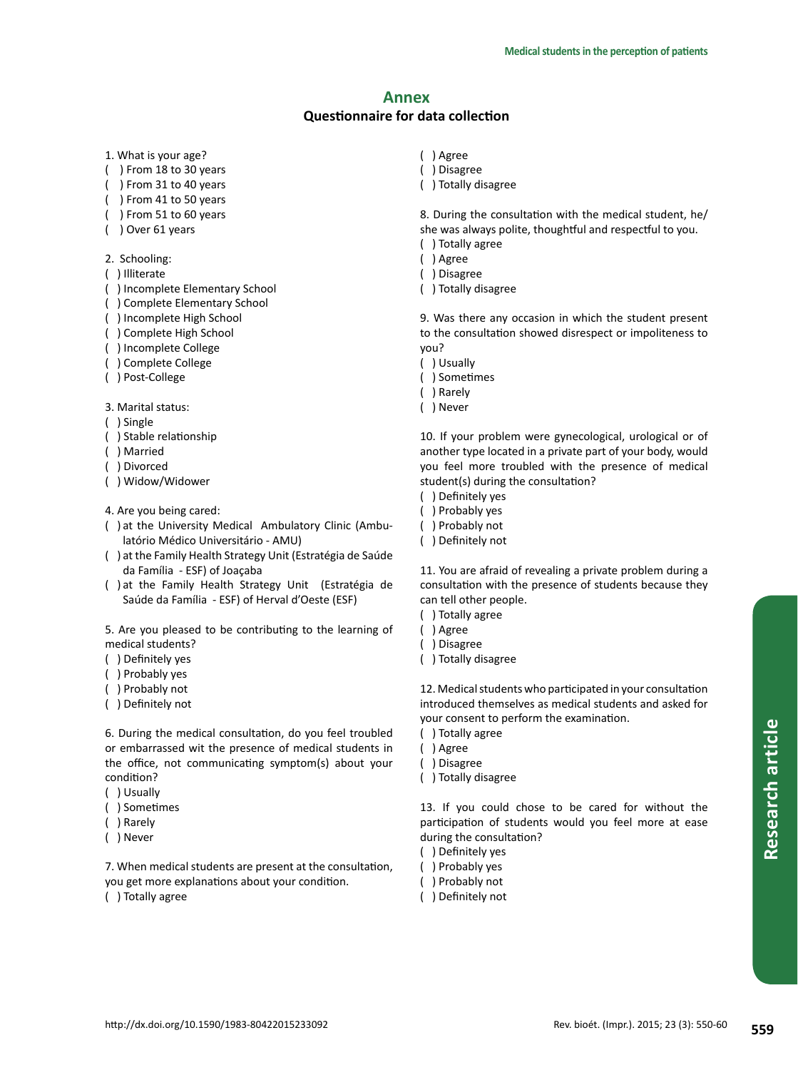# **Annex**

# **Questionnaire for data collection**

- 1. What is your age?
- ( ) From 18 to 30 years
- ( ) From 31 to 40 years
- ( ) From 41 to 50 years
- ( ) From 51 to 60 years
- ( ) Over 61 years
- 2. Schooling:
- ( ) Illiterate
- ( ) Incomplete Elementary School
- ( ) Complete Elementary School
- ( ) Incomplete High School
- ( ) Complete High School
- ( ) Incomplete College
- ( ) Complete College
- ( ) Post-College

3. Marital status:

- ( ) Single
- ( ) Stable relationship
- ( ) Married
- ( ) Divorced
- ( ) Widow/Widower
- 4. Are you being cared:
- ( ) at the University Medical Ambulatory Clinic (Ambulatório Médico Universitário - AMU)
- ( ) at the Family Health Strategy Unit (Estratégia de Saúde da Família - ESF) of Joaçaba
- ( ) at the Family Health Strategy Unit (Estratégia de Saúde da Família - ESF) of Herval d'Oeste (ESF)

5. Are you pleased to be contributing to the learning of medical students?

- ( ) Definitely yes
- ( ) Probably yes
- ( ) Probably not
- ( ) Definitely not

6. During the medical consultation, do you feel troubled or embarrassed wit the presence of medical students in the office, not communicating symptom(s) about your condition?

- ( ) Usually
- ( ) Sometimes
- ( ) Rarely
- ( ) Never

7. When medical students are present at the consultation, you get more explanations about your condition.

( ) Totally agree

- ( ) Agree
- ( ) Disagree
- ( ) Totally disagree

8. During the consultation with the medical student, he/ she was always polite, thoughtful and respectful to you.

- ( ) Totally agree
- ( ) Agree
- ( ) Disagree
- ( ) Totally disagree

9. Was there any occasion in which the student present to the consultation showed disrespect or impoliteness to you?

- ( ) Usually
- ( ) Sometimes
- ( ) Rarely
- ( ) Never

10. If your problem were gynecological, urological or of another type located in a private part of your body, would you feel more troubled with the presence of medical student(s) during the consultation?

- ( ) Definitely yes
- ( ) Probably yes
- ( ) Probably not
- ( ) Definitely not

11. You are afraid of revealing a private problem during a consultation with the presence of students because they can tell other people.

- ( ) Totally agree
- ( ) Agree
- ( ) Disagree
- ( ) Totally disagree

12. Medical students who participated in your consultation introduced themselves as medical students and asked for your consent to perform the examination.

- ( ) Totally agree
- ( ) Agree
- ( ) Disagree
- ( ) Totally disagree

13. If you could chose to be cared for without the participation of students would you feel more at ease during the consultation?

- ( ) Definitely yes
- ( ) Probably yes
- ( ) Probably not
- ( ) Definitely not